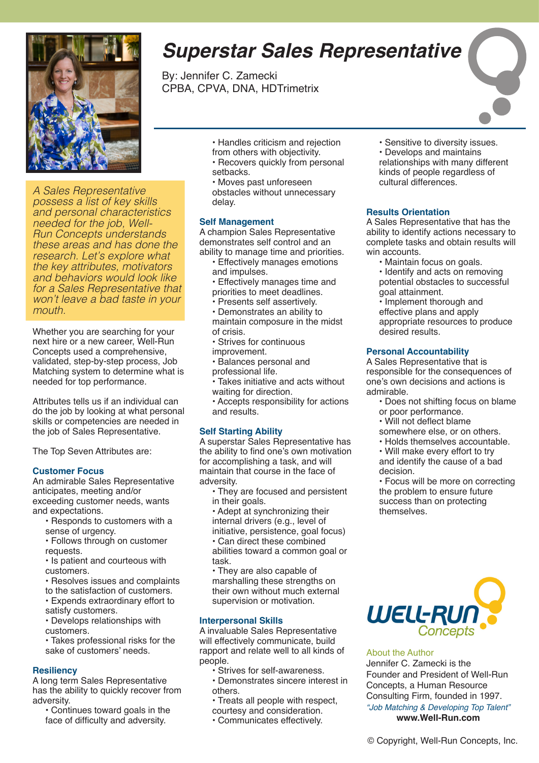

*A Sales Representative possess a list of key skills and personal characteristics needed for the job, Well-Run Concepts understands these areas and has done the research. Let's explore what the key attributes, motivators and behaviors would look like for a Sales Representative that won't leave a bad taste in your mouth.*

Whether you are searching for your next hire or a new career, Well-Run Concepts used a comprehensive, validated, step-by-step process, Job Matching system to determine what is needed for top performance.

Attributes tells us if an individual can do the job by looking at what personal skills or competencies are needed in the job of Sales Representative.

The Top Seven Attributes are:

#### **Customer Focus**

An admirable Sales Representative anticipates, meeting and/or exceeding customer needs, wants and expectations.

- Responds to customers with a sense of urgency.
- Follows through on customer requests.

• Is patient and courteous with customers.

- Resolves issues and complaints
- to the satisfaction of customers.
- Expends extraordinary effort to satisfy customers.

• Develops relationships with customers.

• Takes professional risks for the sake of customers' needs.

#### **Resiliency**

A long term Sales Representative has the ability to quickly recover from adversity.

• Continues toward goals in the face of difficulty and adversity.

- Handles criticism and rejection from others with objectivity.
- Recovers quickly from personal setbacks.
- Moves past unforeseen obstacles without unnecessary delay.

#### **Self Management**

A champion Sales Representative demonstrates self control and an ability to manage time and priorities.

- Effectively manages emotions and impulses.
- Effectively manages time and priorities to meet deadlines.
- Presents self assertively.
- Demonstrates an ability to maintain composure in the midst of crisis.
- Strives for continuous
- improvement.
- Balances personal and professional life.
- Takes initiative and acts without waiting for direction.
- Accepts responsibility for actions and results.

#### **Self Starting Ability**

A superstar Sales Representative has the ability to find one's own motivation for accomplishing a task, and will maintain that course in the face of adversity.

• They are focused and persistent in their goals.

• Adept at synchronizing their internal drivers (e.g., level of initiative, persistence, goal focus) • Can direct these combined abilities toward a common goal or task.

• They are also capable of marshalling these strengths on their own without much external supervision or motivation.

#### **Interpersonal Skills**

A invaluable Sales Representative will effectively communicate, build rapport and relate well to all kinds of people.

- Strives for self-awareness.
- Demonstrates sincere interest in others.
- Treats all people with respect,
- courtesy and consideration. • Communicates effectively.
- 

# *Superstar Sales Representative*

By: Jennifer C. Zamecki CPBA, CPVA, DNA, HDTrimetrix

> • Sensitive to diversity issues. • Develops and maintains relationships with many different kinds of people regardless of cultural differences.

#### **Results Orientation**

A Sales Representative that has the ability to identify actions necessary to complete tasks and obtain results will win accounts.

- Maintain focus on goals.
- Identify and acts on removing potential obstacles to successful goal attainment.

• Implement thorough and effective plans and apply appropriate resources to produce desired results.

#### **Personal Accountability**

A Sales Representative that is responsible for the consequences of one's own decisions and actions is admirable.

- Does not shifting focus on blame or poor performance.
- Will not deflect blame
- somewhere else, or on others.
- Holds themselves accountable.
- Will make every effort to try and identify the cause of a bad decision.

• Focus will be more on correcting the problem to ensure future success than on protecting themselves.



#### About the Author

Jennifer C. Zamecki is the Founder and President of Well-Run Concepts, a Human Resource Consulting Firm, founded in 1997. *"Job Matching & Developing Top Talent"* **www.Well-Run.com**